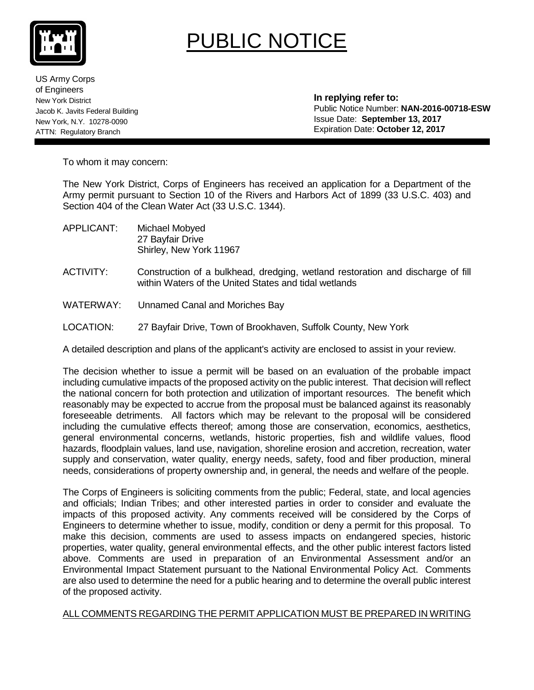

# PUBLIC NOTICE

US Army Corps of Engineers New York District Jacob K. Javits Federal Building New York, N.Y. 10278-0090 ATTN: Regulatory Branch

 **In replying refer to:** Public Notice Number: **NAN-2016-00718-ESW** Issue Date: **September 13, 2017** Expiration Date: **October 12, 2017**

To whom it may concern:

The New York District, Corps of Engineers has received an application for a Department of the Army permit pursuant to Section 10 of the Rivers and Harbors Act of 1899 (33 U.S.C. 403) and Section 404 of the Clean Water Act (33 U.S.C. 1344).

- APPLICANT: Michael Mobyed 27 Bayfair Drive Shirley, New York 11967
- ACTIVITY: Construction of a bulkhead, dredging, wetland restoration and discharge of fill within Waters of the United States and tidal wetlands
- WATERWAY: Unnamed Canal and Moriches Bay
- LOCATION: 27 Bayfair Drive, Town of Brookhaven, Suffolk County, New York

A detailed description and plans of the applicant's activity are enclosed to assist in your review.

The decision whether to issue a permit will be based on an evaluation of the probable impact including cumulative impacts of the proposed activity on the public interest. That decision will reflect the national concern for both protection and utilization of important resources. The benefit which reasonably may be expected to accrue from the proposal must be balanced against its reasonably foreseeable detriments. All factors which may be relevant to the proposal will be considered including the cumulative effects thereof; among those are conservation, economics, aesthetics, general environmental concerns, wetlands, historic properties, fish and wildlife values, flood hazards, floodplain values, land use, navigation, shoreline erosion and accretion, recreation, water supply and conservation, water quality, energy needs, safety, food and fiber production, mineral needs, considerations of property ownership and, in general, the needs and welfare of the people.

The Corps of Engineers is soliciting comments from the public; Federal, state, and local agencies and officials; Indian Tribes; and other interested parties in order to consider and evaluate the impacts of this proposed activity. Any comments received will be considered by the Corps of Engineers to determine whether to issue, modify, condition or deny a permit for this proposal. To make this decision, comments are used to assess impacts on endangered species, historic properties, water quality, general environmental effects, and the other public interest factors listed above. Comments are used in preparation of an Environmental Assessment and/or an Environmental Impact Statement pursuant to the National Environmental Policy Act. Comments are also used to determine the need for a public hearing and to determine the overall public interest of the proposed activity.

#### ALL COMMENTS REGARDING THE PERMIT APPLICATION MUST BE PREPARED IN WRITING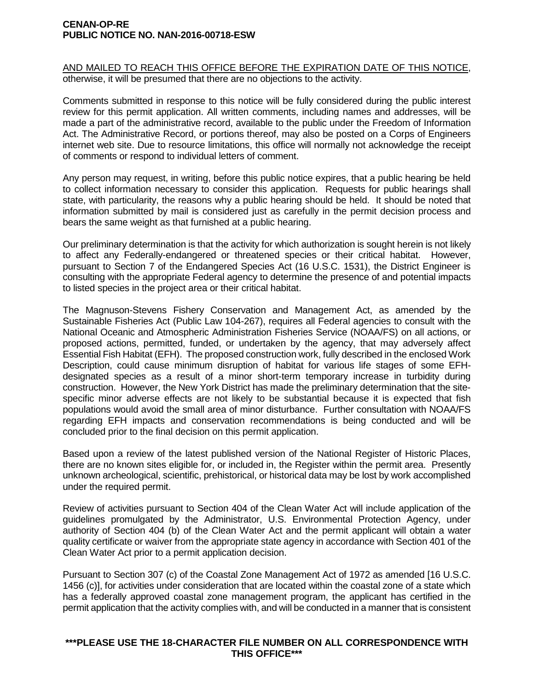#### **CENAN-OP-RE PUBLIC NOTICE NO. NAN-2016-00718-ESW**

AND MAILED TO REACH THIS OFFICE BEFORE THE EXPIRATION DATE OF THIS NOTICE, otherwise, it will be presumed that there are no objections to the activity.

Comments submitted in response to this notice will be fully considered during the public interest review for this permit application. All written comments, including names and addresses, will be made a part of the administrative record, available to the public under the Freedom of Information Act. The Administrative Record, or portions thereof, may also be posted on a Corps of Engineers internet web site. Due to resource limitations, this office will normally not acknowledge the receipt of comments or respond to individual letters of comment.

Any person may request, in writing, before this public notice expires, that a public hearing be held to collect information necessary to consider this application. Requests for public hearings shall state, with particularity, the reasons why a public hearing should be held. It should be noted that information submitted by mail is considered just as carefully in the permit decision process and bears the same weight as that furnished at a public hearing.

Our preliminary determination is that the activity for which authorization is sought herein is not likely to affect any Federally-endangered or threatened species or their critical habitat. However, pursuant to Section 7 of the Endangered Species Act (16 U.S.C. 1531), the District Engineer is consulting with the appropriate Federal agency to determine the presence of and potential impacts to listed species in the project area or their critical habitat.

The Magnuson-Stevens Fishery Conservation and Management Act, as amended by the Sustainable Fisheries Act (Public Law 104-267), requires all Federal agencies to consult with the National Oceanic and Atmospheric Administration Fisheries Service (NOAA/FS) on all actions, or proposed actions, permitted, funded, or undertaken by the agency, that may adversely affect Essential Fish Habitat (EFH). The proposed construction work, fully described in the enclosed Work Description, could cause minimum disruption of habitat for various life stages of some EFHdesignated species as a result of a minor short-term temporary increase in turbidity during construction. However, the New York District has made the preliminary determination that the sitespecific minor adverse effects are not likely to be substantial because it is expected that fish populations would avoid the small area of minor disturbance. Further consultation with NOAA/FS regarding EFH impacts and conservation recommendations is being conducted and will be concluded prior to the final decision on this permit application.

Based upon a review of the latest published version of the National Register of Historic Places, there are no known sites eligible for, or included in, the Register within the permit area. Presently unknown archeological, scientific, prehistorical, or historical data may be lost by work accomplished under the required permit.

Review of activities pursuant to Section 404 of the Clean Water Act will include application of the guidelines promulgated by the Administrator, U.S. Environmental Protection Agency, under authority of Section 404 (b) of the Clean Water Act and the permit applicant will obtain a water quality certificate or waiver from the appropriate state agency in accordance with Section 401 of the Clean Water Act prior to a permit application decision.

Pursuant to Section 307 (c) of the Coastal Zone Management Act of 1972 as amended [16 U.S.C. 1456 (c)], for activities under consideration that are located within the coastal zone of a state which has a federally approved coastal zone management program, the applicant has certified in the permit application that the activity complies with, and will be conducted in a manner that is consistent

#### **\*\*\*PLEASE USE THE 18-CHARACTER FILE NUMBER ON ALL CORRESPONDENCE WITH THIS OFFICE\*\*\***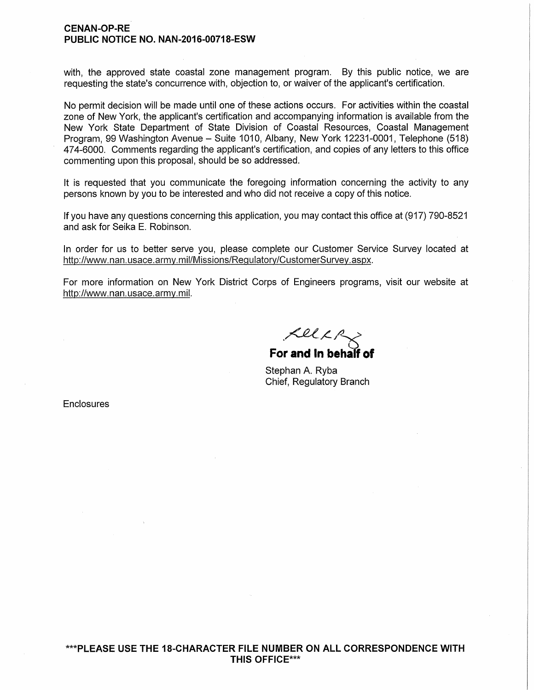#### **CE NAN-OP-RE PUBLIC NOTICE NO. NAN-2016-00718-ESW**

with, the approved state coastal zone management program. By this public notice, we are requesting the state's concurrence with, objection to, or waiver of the applicant's certification.

No permit decision will be made until one of these actions occurs. For activities within the coastal zone of New York, the applicant's certification and accompanying information is available from the New York State Department of State Division of Coastal Resources, Coastal Management Program, 99 Washington Avenue - Suite 1010, Albany, New York 12231-0001, Telephone (518) 474-6000. Comments regarding the applicant's certification, and copies of any letters to this office commenting upon this proposal, should be so addressed.

It is requested that you communicate the foregoing information concerning the activity to any persons known by you to be interested and who did not receive a copy of this notice.

If you have any questions concerning this application, you may contact this office at (917) 790-8521 and ask for Seika E. Robinson.

In order for us to better serve you, please complete our Customer Service Survey located at http://www.nan.usace.army.mil/Missions/Regulatory/CustomerSurvey.aspx.

For more information on New York District Corps of Engineers programs, visit our website at http://www.nan.usace.army.mil.

 $KLLR_{\chi}$ 

**For and In behalf of** 

Stephan A. Ryba Chief, Regulatory Branch

**Enclosures**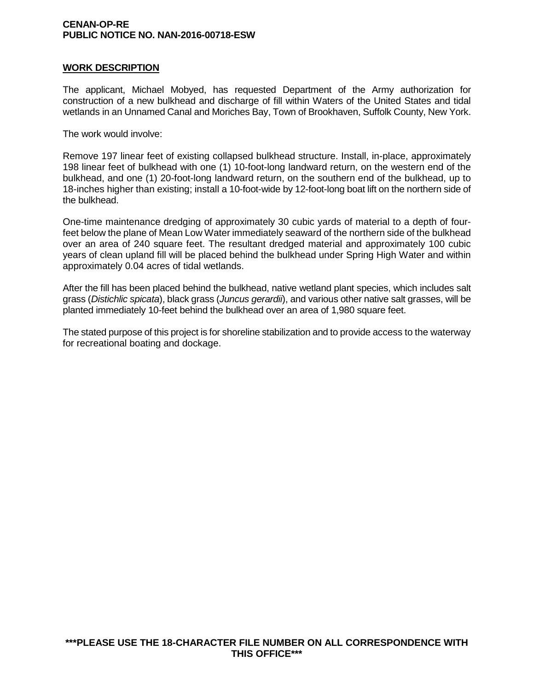#### **CENAN-OP-RE PUBLIC NOTICE NO. NAN-2016-00718-ESW**

#### **WORK DESCRIPTION**

The applicant, Michael Mobyed, has requested Department of the Army authorization for construction of a new bulkhead and discharge of fill within Waters of the United States and tidal wetlands in an Unnamed Canal and Moriches Bay, Town of Brookhaven, Suffolk County, New York.

The work would involve:

Remove 197 linear feet of existing collapsed bulkhead structure. Install, in-place, approximately 198 linear feet of bulkhead with one (1) 10-foot-long landward return, on the western end of the bulkhead, and one (1) 20-foot-long landward return, on the southern end of the bulkhead, up to 18-inches higher than existing; install a 10-foot-wide by 12-foot-long boat lift on the northern side of the bulkhead.

One-time maintenance dredging of approximately 30 cubic yards of material to a depth of fourfeet below the plane of Mean Low Water immediately seaward of the northern side of the bulkhead over an area of 240 square feet. The resultant dredged material and approximately 100 cubic years of clean upland fill will be placed behind the bulkhead under Spring High Water and within approximately 0.04 acres of tidal wetlands.

After the fill has been placed behind the bulkhead, native wetland plant species, which includes salt grass (*Distichlic spicata*), black grass (*Juncus gerardii*), and various other native salt grasses, will be planted immediately 10-feet behind the bulkhead over an area of 1,980 square feet.

The stated purpose of this project is for shoreline stabilization and to provide access to the waterway for recreational boating and dockage.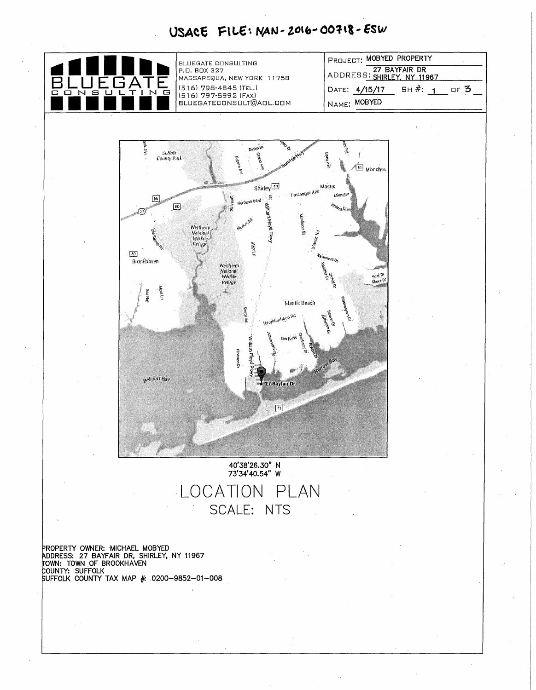# USACE FILE: NAN-2016-00718-ESW

| ADDRESS: SHIRLEY, NY 11967<br>P.O. BOX 327<br>MASSAPEQUA, NEW YORK 11758<br>(516) 798-4845 (TEL.)<br>SH#: 1<br>DATE: 4/15/17<br>c<br>s<br>G<br>0<br>N<br>$\mathbf{I}$<br>$\mathbb{N}$<br>(516) 797-5992 (FAX)<br>NAME: MOBYED<br>BLUEGATECONSULT@AOL.COM<br><b>REDICATION</b><br><b>Lea</b> Pre<br>जात मुख्य<br>Dawn Di<br>Su <mark>llalk</mark><br>Caunty Park<br>Eiten kild<br>$\frac{1}{2}$ (and $N^2$<br>Fabara Icie<br><mark>ட</mark> ை <sub>Monches</sub><br>alle i<br>Mastic<br>Shirley <sup>[10]</sup><br>-reschopue Ave<br>a vystra vyst<br>霣<br>$\frac{1}{2}d\delta$<br><b>PU ITINS</b><br>Northern Einh | $\Box$ F 3 |
|--------------------------------------------------------------------------------------------------------------------------------------------------------------------------------------------------------------------------------------------------------------------------------------------------------------------------------------------------------------------------------------------------------------------------------------------------------------------------------------------------------------------------------------------------------------------------------------------------------------------|------------|
|                                                                                                                                                                                                                                                                                                                                                                                                                                                                                                                                                                                                                    |            |
|                                                                                                                                                                                                                                                                                                                                                                                                                                                                                                                                                                                                                    |            |
|                                                                                                                                                                                                                                                                                                                                                                                                                                                                                                                                                                                                                    |            |
|                                                                                                                                                                                                                                                                                                                                                                                                                                                                                                                                                                                                                    |            |
|                                                                                                                                                                                                                                                                                                                                                                                                                                                                                                                                                                                                                    |            |
|                                                                                                                                                                                                                                                                                                                                                                                                                                                                                                                                                                                                                    |            |
|                                                                                                                                                                                                                                                                                                                                                                                                                                                                                                                                                                                                                    |            |
|                                                                                                                                                                                                                                                                                                                                                                                                                                                                                                                                                                                                                    |            |
|                                                                                                                                                                                                                                                                                                                                                                                                                                                                                                                                                                                                                    |            |
| <b>William Eloyd Ployy</b><br>$\overline{w}$<br>Rivides DI<br>$\sqrt{T}$                                                                                                                                                                                                                                                                                                                                                                                                                                                                                                                                           |            |
| $\frac{1}{M}$ and $\frac{1}{M}$<br><i>Merica Rb</i><br>Werthelm<br> National <br> Wildlie<br> Reftgge                                                                                                                                                                                                                                                                                                                                                                                                                                                                                                              |            |
| Maszc <sub>Rd</sub><br>This Suite<br>The Suite<br>kider Ln                                                                                                                                                                                                                                                                                                                                                                                                                                                                                                                                                         |            |
| $\boxed{60}$<br>Wavement Cr.<br>Brookhaven                                                                                                                                                                                                                                                                                                                                                                                                                                                                                                                                                                         |            |
| Wertheim<br>Netional<br>Wikitite<br>Shora or<br>Refuge                                                                                                                                                                                                                                                                                                                                                                                                                                                                                                                                                             |            |
| worth.<br><b>Eas/Re</b>                                                                                                                                                                                                                                                                                                                                                                                                                                                                                                                                                                                            |            |
| <b>Radiumers</b><br>Mastic Beach                                                                                                                                                                                                                                                                                                                                                                                                                                                                                                                                                                                   |            |
| <b>PILITIES</b><br>Bacones<br>Heightum hood fut<br>×<br>کیلاوی<br>الکونی                                                                                                                                                                                                                                                                                                                                                                                                                                                                                                                                           |            |
| lotro-<br>Ein Hd W                                                                                                                                                                                                                                                                                                                                                                                                                                                                                                                                                                                                 |            |
| William Floyd<br><b>Hinters</b> Dr                                                                                                                                                                                                                                                                                                                                                                                                                                                                                                                                                                                 |            |
| ادر<br>पुर<br>इ                                                                                                                                                                                                                                                                                                                                                                                                                                                                                                                                                                                                    |            |
| Religiont Bay.<br>27 Baylair Dr                                                                                                                                                                                                                                                                                                                                                                                                                                                                                                                                                                                    |            |
|                                                                                                                                                                                                                                                                                                                                                                                                                                                                                                                                                                                                                    |            |
| 回                                                                                                                                                                                                                                                                                                                                                                                                                                                                                                                                                                                                                  |            |
|                                                                                                                                                                                                                                                                                                                                                                                                                                                                                                                                                                                                                    |            |
|                                                                                                                                                                                                                                                                                                                                                                                                                                                                                                                                                                                                                    |            |
| 40'38'26.30" N                                                                                                                                                                                                                                                                                                                                                                                                                                                                                                                                                                                                     |            |
| 73'34'40.54" W                                                                                                                                                                                                                                                                                                                                                                                                                                                                                                                                                                                                     |            |
| LOCATION PLAN                                                                                                                                                                                                                                                                                                                                                                                                                                                                                                                                                                                                      |            |
| SCALE: NTS                                                                                                                                                                                                                                                                                                                                                                                                                                                                                                                                                                                                         |            |
|                                                                                                                                                                                                                                                                                                                                                                                                                                                                                                                                                                                                                    |            |
|                                                                                                                                                                                                                                                                                                                                                                                                                                                                                                                                                                                                                    |            |
| PROPERTY OWNER: MICHAEL MOBYED                                                                                                                                                                                                                                                                                                                                                                                                                                                                                                                                                                                     |            |
| ADDRESS: 27 BAYFAIR DR, SHIRLEY, NY 11967<br> TOWN: TOWN OF BROOKHAVEN                                                                                                                                                                                                                                                                                                                                                                                                                                                                                                                                             |            |
| COUNTY: SUFFOLK<br>SUFFOLK COUNTY TAX MAP # 0200-9852-01-008                                                                                                                                                                                                                                                                                                                                                                                                                                                                                                                                                       |            |
|                                                                                                                                                                                                                                                                                                                                                                                                                                                                                                                                                                                                                    |            |
|                                                                                                                                                                                                                                                                                                                                                                                                                                                                                                                                                                                                                    |            |
|                                                                                                                                                                                                                                                                                                                                                                                                                                                                                                                                                                                                                    |            |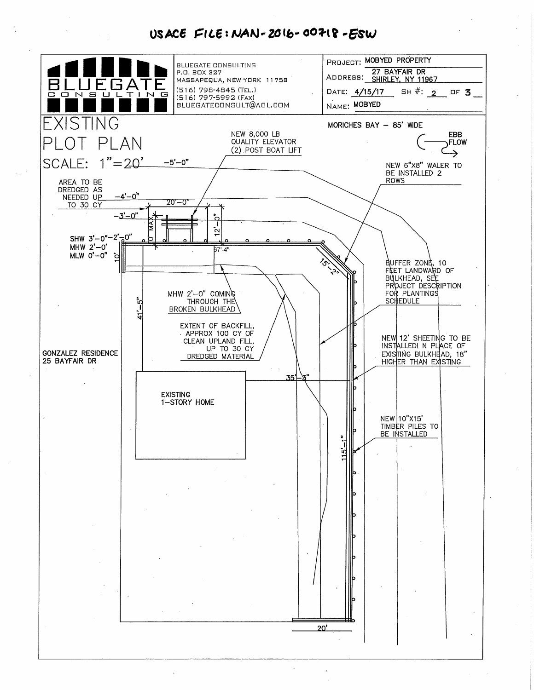### USACE FILE: NAN-2016-00718-ESW